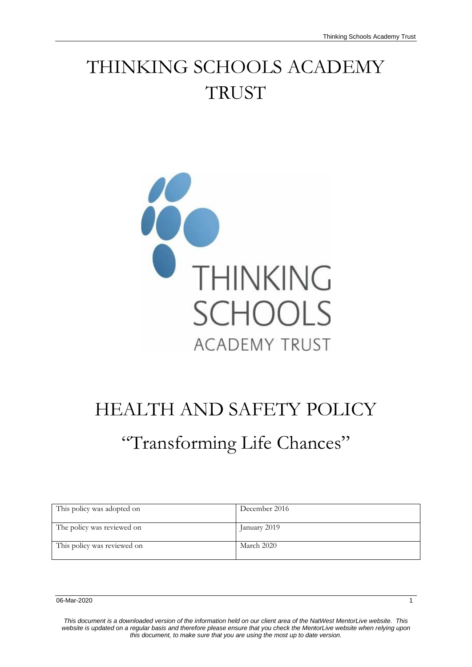## THINKING SCHOOLS ACADEMY **TRUST**



# HEALTH AND SAFETY POLICY

## "Transforming Life Chances"

| This policy was adopted on  | December 2016 |
|-----------------------------|---------------|
| The policy was reviewed on  | January 2019  |
| This policy was reviewed on | March 2020    |

*This document is a downloaded version of the information held on our client area of the NatWest MentorLive website. This website is updated on a regular basis and therefore please ensure that you check the MentorLive website when relying upon this document, to make sure that you are using the most up to date version.*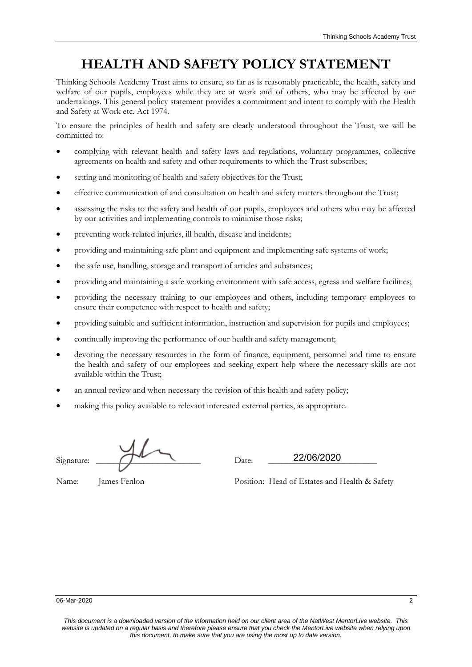### **HEALTH AND SAFETY POLICY STATEMENT**

Thinking Schools Academy Trust aims to ensure, so far as is reasonably practicable, the health, safety and welfare of our pupils, employees while they are at work and of others, who may be affected by our undertakings. This general policy statement provides a commitment and intent to comply with the Health and Safety at Work etc. Act 1974.

To ensure the principles of health and safety are clearly understood throughout the Trust, we will be committed to:

- complying with relevant health and safety laws and regulations, voluntary programmes, collective agreements on health and safety and other requirements to which the Trust subscribes;
- setting and monitoring of health and safety objectives for the Trust;
- effective communication of and consultation on health and safety matters throughout the Trust;
- assessing the risks to the safety and health of our pupils, employees and others who may be affected by our activities and implementing controls to minimise those risks;
- preventing work-related injuries, ill health, disease and incidents;
- providing and maintaining safe plant and equipment and implementing safe systems of work;
- the safe use, handling, storage and transport of articles and substances;
- providing and maintaining a safe working environment with safe access, egress and welfare facilities;
- providing the necessary training to our employees and others, including temporary employees to ensure their competence with respect to health and safety;
- providing suitable and sufficient information, instruction and supervision for pupils and employees;
- continually improving the performance of our health and safety management;
- devoting the necessary resources in the form of finance, equipment, personnel and time to ensure the health and safety of our employees and seeking expert help where the necessary skills are not available within the Trust;
- an annual review and when necessary the revision of this health and safety policy;
- making this policy available to relevant interested external parties, as appropriate.

Signature:  $\sqrt{22/100/2020}$ 

22/06/2020

Name: James Fenlon Position: Head of Estates and Health & Safety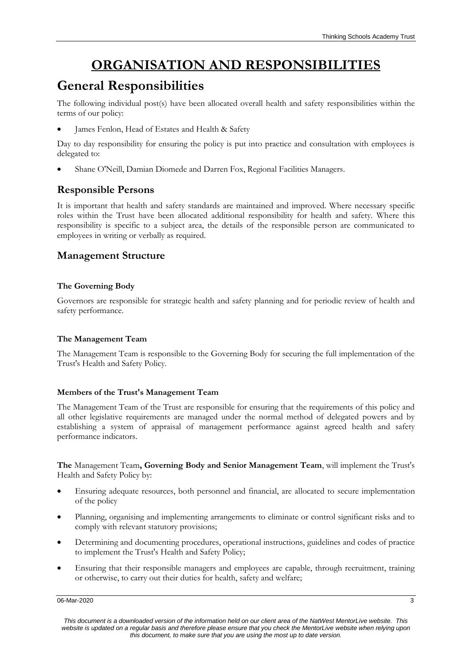## **ORGANISATION AND RESPONSIBILITIES**

### **General Responsibilities**

The following individual post(s) have been allocated overall health and safety responsibilities within the terms of our policy:

James Fenlon, Head of Estates and Health & Safety

Day to day responsibility for ensuring the policy is put into practice and consultation with employees is delegated to:

Shane O'Neill, Damian Diomede and Darren Fox, Regional Facilities Managers.

#### **Responsible Persons**

It is important that health and safety standards are maintained and improved. Where necessary specific roles within the Trust have been allocated additional responsibility for health and safety. Where this responsibility is specific to a subject area, the details of the responsible person are communicated to employees in writing or verbally as required.

#### **Management Structure**

#### **The Governing Body**

Governors are responsible for strategic health and safety planning and for periodic review of health and safety performance.

#### **The Management Team**

The Management Team is responsible to the Governing Body for securing the full implementation of the Trust's Health and Safety Policy.

#### **Members of the Trust's Management Team**

The Management Team of the Trust are responsible for ensuring that the requirements of this policy and all other legislative requirements are managed under the normal method of delegated powers and by establishing a system of appraisal of management performance against agreed health and safety performance indicators.

**The** Management Team**, Governing Body and Senior Management Team**, will implement the Trust's Health and Safety Policy by:

- Ensuring adequate resources, both personnel and financial, are allocated to secure implementation of the policy
- Planning, organising and implementing arrangements to eliminate or control significant risks and to comply with relevant statutory provisions;
- Determining and documenting procedures, operational instructions, guidelines and codes of practice to implement the Trust's Health and Safety Policy;
- Ensuring that their responsible managers and employees are capable, through recruitment, training or otherwise, to carry out their duties for health, safety and welfare;

06-Mar-2020 33 and 2012 34 and 2012 35 and 2012 35 and 2012 35 and 2012 35 and 2012 35 and 2012 35 and 2012 35

*This document is a downloaded version of the information held on our client area of the NatWest MentorLive website. This website is updated on a regular basis and therefore please ensure that you check the MentorLive website when relying upon this document, to make sure that you are using the most up to date version.*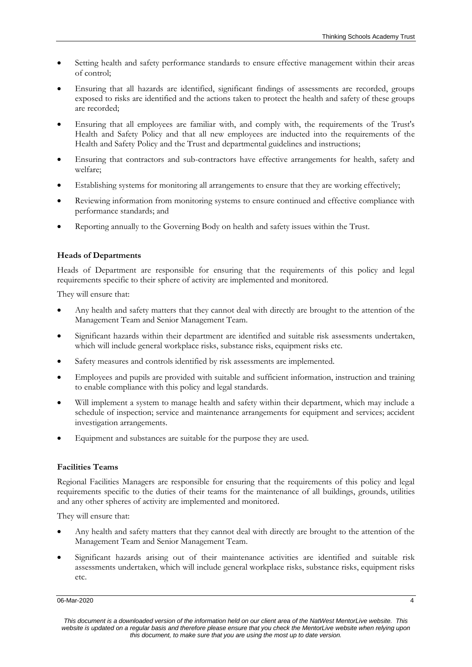- Setting health and safety performance standards to ensure effective management within their areas of control;
- Ensuring that all hazards are identified, significant findings of assessments are recorded, groups exposed to risks are identified and the actions taken to protect the health and safety of these groups are recorded;
- Ensuring that all employees are familiar with, and comply with, the requirements of the Trust's Health and Safety Policy and that all new employees are inducted into the requirements of the Health and Safety Policy and the Trust and departmental guidelines and instructions;
- Ensuring that contractors and sub-contractors have effective arrangements for health, safety and welfare;
- Establishing systems for monitoring all arrangements to ensure that they are working effectively;
- Reviewing information from monitoring systems to ensure continued and effective compliance with performance standards; and
- Reporting annually to the Governing Body on health and safety issues within the Trust.

#### **Heads of Departments**

Heads of Department are responsible for ensuring that the requirements of this policy and legal requirements specific to their sphere of activity are implemented and monitored.

They will ensure that:

- Any health and safety matters that they cannot deal with directly are brought to the attention of the Management Team and Senior Management Team.
- Significant hazards within their department are identified and suitable risk assessments undertaken, which will include general workplace risks, substance risks, equipment risks etc.
- Safety measures and controls identified by risk assessments are implemented.
- Employees and pupils are provided with suitable and sufficient information, instruction and training to enable compliance with this policy and legal standards.
- Will implement a system to manage health and safety within their department, which may include a schedule of inspection; service and maintenance arrangements for equipment and services; accident investigation arrangements.
- Equipment and substances are suitable for the purpose they are used.

#### **Facilities Teams**

Regional Facilities Managers are responsible for ensuring that the requirements of this policy and legal requirements specific to the duties of their teams for the maintenance of all buildings, grounds, utilities and any other spheres of activity are implemented and monitored.

They will ensure that:

- Any health and safety matters that they cannot deal with directly are brought to the attention of the Management Team and Senior Management Team.
- Significant hazards arising out of their maintenance activities are identified and suitable risk assessments undertaken, which will include general workplace risks, substance risks, equipment risks etc.

06-Mar-2020 4

*This document is a downloaded version of the information held on our client area of the NatWest MentorLive website. This website is updated on a regular basis and therefore please ensure that you check the MentorLive website when relying upon this document, to make sure that you are using the most up to date version.*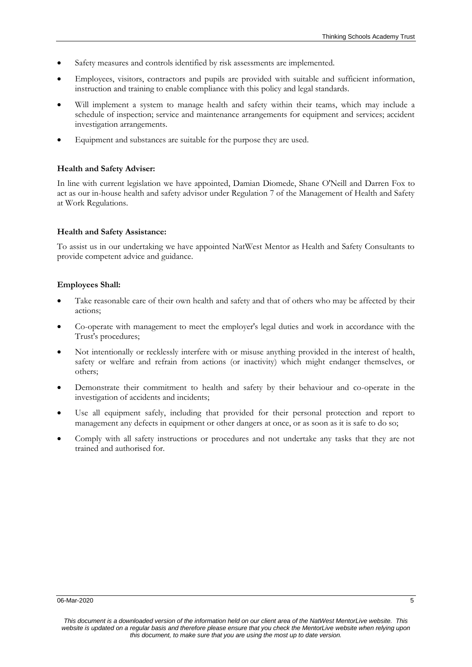- Safety measures and controls identified by risk assessments are implemented.
- Employees, visitors, contractors and pupils are provided with suitable and sufficient information, instruction and training to enable compliance with this policy and legal standards.
- Will implement a system to manage health and safety within their teams, which may include a schedule of inspection; service and maintenance arrangements for equipment and services; accident investigation arrangements.
- Equipment and substances are suitable for the purpose they are used.

#### **Health and Safety Adviser:**

In line with current legislation we have appointed, Damian Diomede, Shane O'Neill and Darren Fox to act as our in-house health and safety advisor under Regulation 7 of the Management of Health and Safety at Work Regulations.

#### **Health and Safety Assistance:**

To assist us in our undertaking we have appointed NatWest Mentor as Health and Safety Consultants to provide competent advice and guidance.

#### **Employees Shall:**

- Take reasonable care of their own health and safety and that of others who may be affected by their actions;
- Co-operate with management to meet the employer's legal duties and work in accordance with the Trust's procedures;
- Not intentionally or recklessly interfere with or misuse anything provided in the interest of health, safety or welfare and refrain from actions (or inactivity) which might endanger themselves, or others;
- Demonstrate their commitment to health and safety by their behaviour and co-operate in the investigation of accidents and incidents;
- Use all equipment safely, including that provided for their personal protection and report to management any defects in equipment or other dangers at once, or as soon as it is safe to do so;
- Comply with all safety instructions or procedures and not undertake any tasks that they are not trained and authorised for.

*This document is a downloaded version of the information held on our client area of the NatWest MentorLive website. This website is updated on a regular basis and therefore please ensure that you check the MentorLive website when relying upon this document, to make sure that you are using the most up to date version.*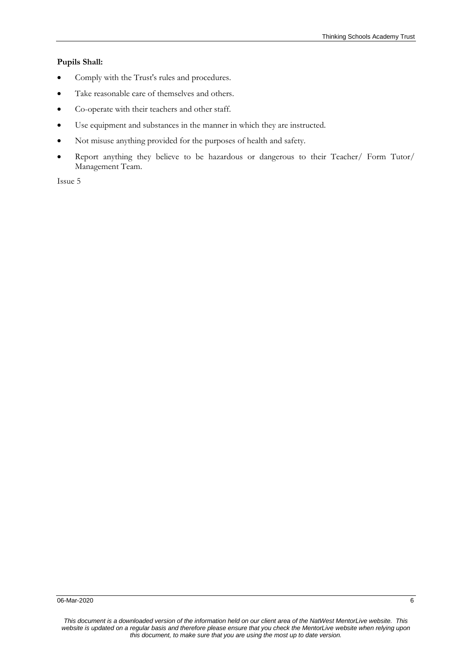#### **Pupils Shall:**

- Comply with the Trust's rules and procedures.
- Take reasonable care of themselves and others.
- Co-operate with their teachers and other staff.
- Use equipment and substances in the manner in which they are instructed.
- Not misuse anything provided for the purposes of health and safety.
- Report anything they believe to be hazardous or dangerous to their Teacher/ Form Tutor/ Management Team.

Issue 5

*This document is a downloaded version of the information held on our client area of the NatWest MentorLive website. This website is updated on a regular basis and therefore please ensure that you check the MentorLive website when relying upon this document, to make sure that you are using the most up to date version.*